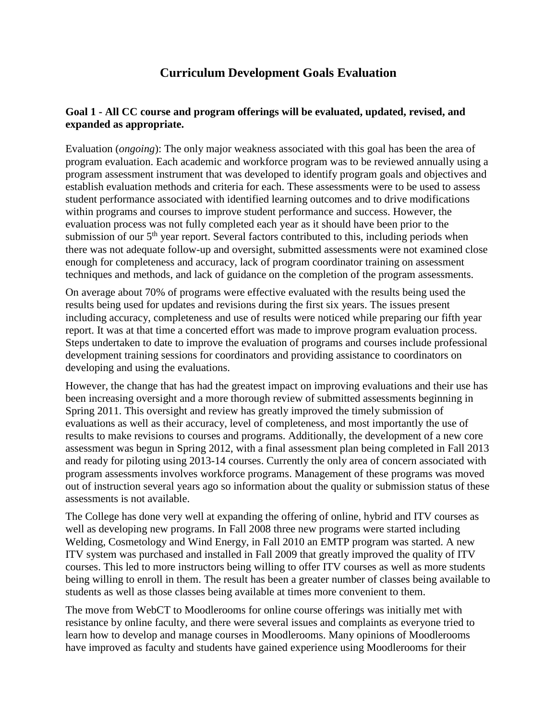# **Curriculum Development Goals Evaluation**

### **Goal 1 - All CC course and program offerings will be evaluated, updated, revised, and expanded as appropriate.**

Evaluation (*ongoing*): The only major weakness associated with this goal has been the area of program evaluation. Each academic and workforce program was to be reviewed annually using a program assessment instrument that was developed to identify program goals and objectives and establish evaluation methods and criteria for each. These assessments were to be used to assess student performance associated with identified learning outcomes and to drive modifications within programs and courses to improve student performance and success. However, the evaluation process was not fully completed each year as it should have been prior to the submission of our  $5<sup>th</sup>$  year report. Several factors contributed to this, including periods when there was not adequate follow-up and oversight, submitted assessments were not examined close enough for completeness and accuracy, lack of program coordinator training on assessment techniques and methods, and lack of guidance on the completion of the program assessments.

On average about 70% of programs were effective evaluated with the results being used the results being used for updates and revisions during the first six years. The issues present including accuracy, completeness and use of results were noticed while preparing our fifth year report. It was at that time a concerted effort was made to improve program evaluation process. Steps undertaken to date to improve the evaluation of programs and courses include professional development training sessions for coordinators and providing assistance to coordinators on developing and using the evaluations.

However, the change that has had the greatest impact on improving evaluations and their use has been increasing oversight and a more thorough review of submitted assessments beginning in Spring 2011. This oversight and review has greatly improved the timely submission of evaluations as well as their accuracy, level of completeness, and most importantly the use of results to make revisions to courses and programs. Additionally, the development of a new core assessment was begun in Spring 2012, with a final assessment plan being completed in Fall 2013 and ready for piloting using 2013-14 courses. Currently the only area of concern associated with program assessments involves workforce programs. Management of these programs was moved out of instruction several years ago so information about the quality or submission status of these assessments is not available.

The College has done very well at expanding the offering of online, hybrid and ITV courses as well as developing new programs. In Fall 2008 three new programs were started including Welding, Cosmetology and Wind Energy, in Fall 2010 an EMTP program was started. A new ITV system was purchased and installed in Fall 2009 that greatly improved the quality of ITV courses. This led to more instructors being willing to offer ITV courses as well as more students being willing to enroll in them. The result has been a greater number of classes being available to students as well as those classes being available at times more convenient to them.

The move from WebCT to Moodlerooms for online course offerings was initially met with resistance by online faculty, and there were several issues and complaints as everyone tried to learn how to develop and manage courses in Moodlerooms. Many opinions of Moodlerooms have improved as faculty and students have gained experience using Moodlerooms for their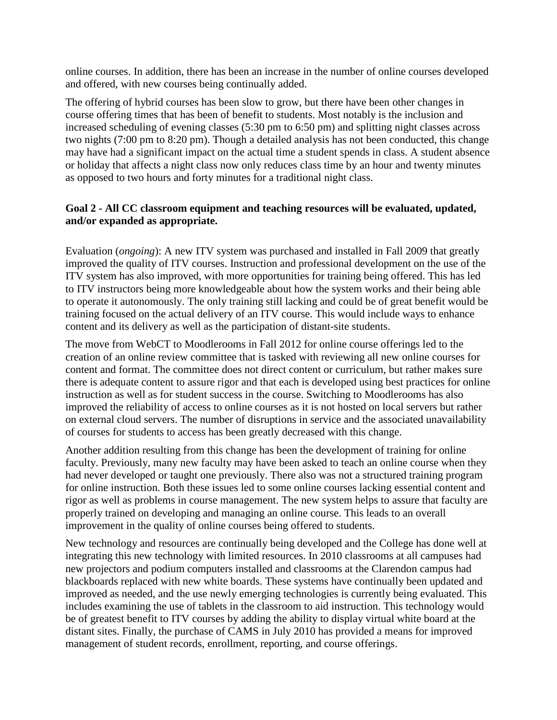online courses. In addition, there has been an increase in the number of online courses developed and offered, with new courses being continually added.

The offering of hybrid courses has been slow to grow, but there have been other changes in course offering times that has been of benefit to students. Most notably is the inclusion and increased scheduling of evening classes (5:30 pm to 6:50 pm) and splitting night classes across two nights (7:00 pm to 8:20 pm). Though a detailed analysis has not been conducted, this change may have had a significant impact on the actual time a student spends in class. A student absence or holiday that affects a night class now only reduces class time by an hour and twenty minutes as opposed to two hours and forty minutes for a traditional night class.

### **Goal 2 - All CC classroom equipment and teaching resources will be evaluated, updated, and/or expanded as appropriate.**

Evaluation (*ongoing*): A new ITV system was purchased and installed in Fall 2009 that greatly improved the quality of ITV courses. Instruction and professional development on the use of the ITV system has also improved, with more opportunities for training being offered. This has led to ITV instructors being more knowledgeable about how the system works and their being able to operate it autonomously. The only training still lacking and could be of great benefit would be training focused on the actual delivery of an ITV course. This would include ways to enhance content and its delivery as well as the participation of distant-site students.

The move from WebCT to Moodlerooms in Fall 2012 for online course offerings led to the creation of an online review committee that is tasked with reviewing all new online courses for content and format. The committee does not direct content or curriculum, but rather makes sure there is adequate content to assure rigor and that each is developed using best practices for online instruction as well as for student success in the course. Switching to Moodlerooms has also improved the reliability of access to online courses as it is not hosted on local servers but rather on external cloud servers. The number of disruptions in service and the associated unavailability of courses for students to access has been greatly decreased with this change.

Another addition resulting from this change has been the development of training for online faculty. Previously, many new faculty may have been asked to teach an online course when they had never developed or taught one previously. There also was not a structured training program for online instruction. Both these issues led to some online courses lacking essential content and rigor as well as problems in course management. The new system helps to assure that faculty are properly trained on developing and managing an online course. This leads to an overall improvement in the quality of online courses being offered to students.

New technology and resources are continually being developed and the College has done well at integrating this new technology with limited resources. In 2010 classrooms at all campuses had new projectors and podium computers installed and classrooms at the Clarendon campus had blackboards replaced with new white boards. These systems have continually been updated and improved as needed, and the use newly emerging technologies is currently being evaluated. This includes examining the use of tablets in the classroom to aid instruction. This technology would be of greatest benefit to ITV courses by adding the ability to display virtual white board at the distant sites. Finally, the purchase of CAMS in July 2010 has provided a means for improved management of student records, enrollment, reporting, and course offerings.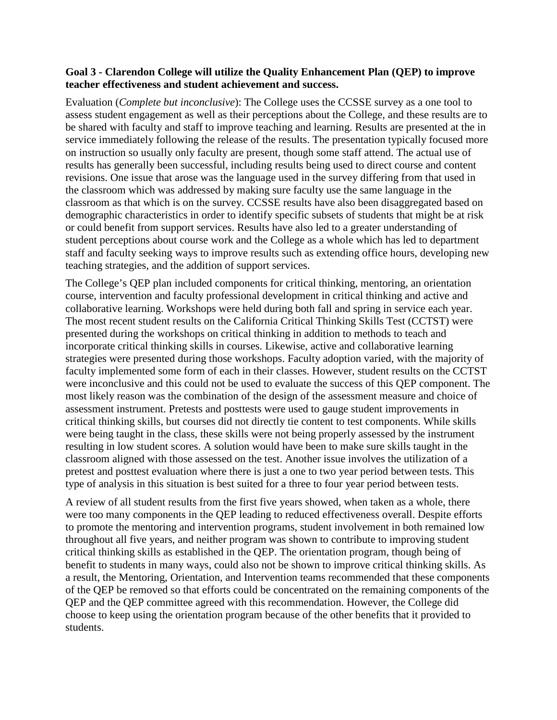#### **Goal 3 - Clarendon College will utilize the Quality Enhancement Plan (QEP) to improve teacher effectiveness and student achievement and success.**

Evaluation (*Complete but inconclusive*): The College uses the CCSSE survey as a one tool to assess student engagement as well as their perceptions about the College, and these results are to be shared with faculty and staff to improve teaching and learning. Results are presented at the in service immediately following the release of the results. The presentation typically focused more on instruction so usually only faculty are present, though some staff attend. The actual use of results has generally been successful, including results being used to direct course and content revisions. One issue that arose was the language used in the survey differing from that used in the classroom which was addressed by making sure faculty use the same language in the classroom as that which is on the survey. CCSSE results have also been disaggregated based on demographic characteristics in order to identify specific subsets of students that might be at risk or could benefit from support services. Results have also led to a greater understanding of student perceptions about course work and the College as a whole which has led to department staff and faculty seeking ways to improve results such as extending office hours, developing new teaching strategies, and the addition of support services.

The College's QEP plan included components for critical thinking, mentoring, an orientation course, intervention and faculty professional development in critical thinking and active and collaborative learning. Workshops were held during both fall and spring in service each year. The most recent student results on the California Critical Thinking Skills Test (CCTST) were presented during the workshops on critical thinking in addition to methods to teach and incorporate critical thinking skills in courses. Likewise, active and collaborative learning strategies were presented during those workshops. Faculty adoption varied, with the majority of faculty implemented some form of each in their classes. However, student results on the CCTST were inconclusive and this could not be used to evaluate the success of this QEP component. The most likely reason was the combination of the design of the assessment measure and choice of assessment instrument. Pretests and posttests were used to gauge student improvements in critical thinking skills, but courses did not directly tie content to test components. While skills were being taught in the class, these skills were not being properly assessed by the instrument resulting in low student scores. A solution would have been to make sure skills taught in the classroom aligned with those assessed on the test. Another issue involves the utilization of a pretest and posttest evaluation where there is just a one to two year period between tests. This type of analysis in this situation is best suited for a three to four year period between tests.

A review of all student results from the first five years showed, when taken as a whole, there were too many components in the QEP leading to reduced effectiveness overall. Despite efforts to promote the mentoring and intervention programs, student involvement in both remained low throughout all five years, and neither program was shown to contribute to improving student critical thinking skills as established in the QEP. The orientation program, though being of benefit to students in many ways, could also not be shown to improve critical thinking skills. As a result, the Mentoring, Orientation, and Intervention teams recommended that these components of the QEP be removed so that efforts could be concentrated on the remaining components of the QEP and the QEP committee agreed with this recommendation. However, the College did choose to keep using the orientation program because of the other benefits that it provided to students.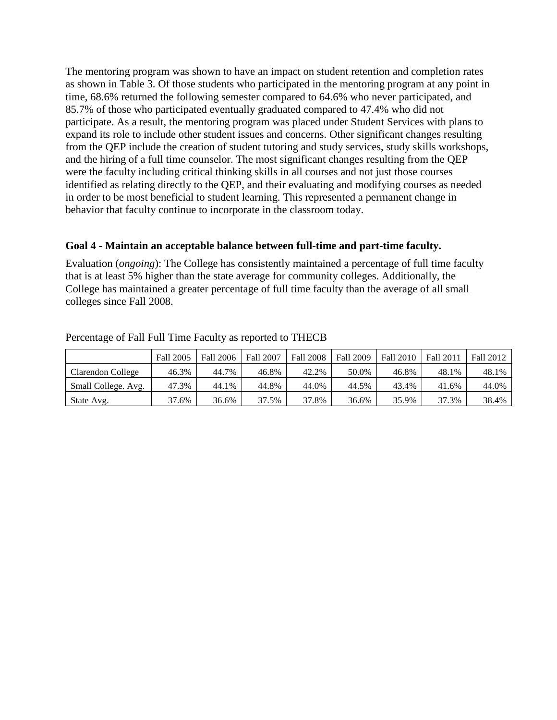The mentoring program was shown to have an impact on student retention and completion rates as shown in Table 3. Of those students who participated in the mentoring program at any point in time, 68.6% returned the following semester compared to 64.6% who never participated, and 85.7% of those who participated eventually graduated compared to 47.4% who did not participate. As a result, the mentoring program was placed under Student Services with plans to expand its role to include other student issues and concerns. Other significant changes resulting from the QEP include the creation of student tutoring and study services, study skills workshops, and the hiring of a full time counselor. The most significant changes resulting from the QEP were the faculty including critical thinking skills in all courses and not just those courses identified as relating directly to the QEP, and their evaluating and modifying courses as needed in order to be most beneficial to student learning. This represented a permanent change in behavior that faculty continue to incorporate in the classroom today.

#### **Goal 4 - Maintain an acceptable balance between full-time and part-time faculty.**

Evaluation (*ongoing*): The College has consistently maintained a percentage of full time faculty that is at least 5% higher than the state average for community colleges. Additionally, the College has maintained a greater percentage of full time faculty than the average of all small colleges since Fall 2008.

|                     | <b>Fall 2005</b> | Fall 2006 | <b>Fall 2007</b> | <b>Fall 2008</b> | <b>Fall 2009</b> | Fall 2010 | <b>Fall 201</b> | <b>Fall 2012</b> |
|---------------------|------------------|-----------|------------------|------------------|------------------|-----------|-----------------|------------------|
| Clarendon College   | 46.3%            | 44.7%     | 46.8%            | 42.2%            | 50.0%            | 46.8%     | 48.1%           | 48.1%            |
| Small College. Avg. | 47.3%            | 44.1%     | 44.8%            | 44.0%            | 44.5%            | 43.4%     | 41.6%           | 44.0%            |
| State Avg.          | 37.6%            | 36.6%     | 37.5%            | 37.8%            | 36.6%            | 35.9%     | 37.3%           | 38.4%            |

Percentage of Fall Full Time Faculty as reported to THECB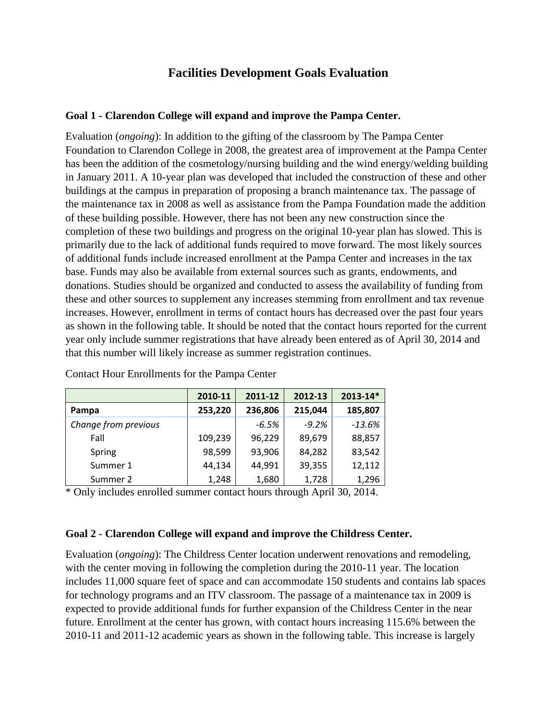## **Facilities Development Goals Evaluation**

### **Goal 1 - Clarendon College will expand and improve the Pampa Center.**

Evaluation (*ongoing*): In addition to the gifting of the classroom by The Pampa Center Foundation to Clarendon College in 2008, the greatest area of improvement at the Pampa Center has been the addition of the cosmetology/nursing building and the wind energy/welding building in January 2011. A 10-year plan was developed that included the construction of these and other buildings at the campus in preparation of proposing a branch maintenance tax. The passage of the maintenance tax in 2008 as well as assistance from the Pampa Foundation made the addition of these building possible. However, there has not been any new construction since the completion of these two buildings and progress on the original 10-year plan has slowed. This is primarily due to the lack of additional funds required to move forward. The most likely sources of additional funds include increased enrollment at the Pampa Center and increases in the tax base. Funds may also be available from external sources such as grants, endowments, and donations. Studies should be organized and conducted to assess the availability of funding from these and other sources to supplement any increases stemming from enrollment and tax revenue increases. However, enrollment in terms of contact hours has decreased over the past four years as shown in the following table. It should be noted that the contact hours reported for the current year only include summer registrations that have already been entered as of April 30, 2014 and that this number will likely increase as summer registration continues.

|                      | 2010-11 | 2011-12 | 2012-13 | 2013-14* |
|----------------------|---------|---------|---------|----------|
| Pampa                | 253,220 | 236,806 | 215,044 | 185,807  |
| Change from previous |         | $-6.5%$ | $-9.2%$ | $-13.6%$ |
| Fall                 | 109,239 | 96,229  | 89,679  | 88,857   |
| Spring               | 98,599  | 93,906  | 84,282  | 83,542   |
| Summer 1             | 44,134  | 44,991  | 39,355  | 12,112   |
| Summer 2             | 1,248   | 1,680   | 1,728   | 1,296    |

Contact Hour Enrollments for the Pampa Center

\* Only includes enrolled summer contact hours through April 30, 2014.

#### **Goal 2 - Clarendon College will expand and improve the Childress Center.**

Evaluation (*ongoing*): The Childress Center location underwent renovations and remodeling, with the center moving in following the completion during the 2010-11 year. The location includes 11,000 square feet of space and can accommodate 150 students and contains lab spaces for technology programs and an ITV classroom. The passage of a maintenance tax in 2009 is expected to provide additional funds for further expansion of the Childress Center in the near future. Enrollment at the center has grown, with contact hours increasing 115.6% between the 2010-11 and 2011-12 academic years as shown in the following table. This increase is largely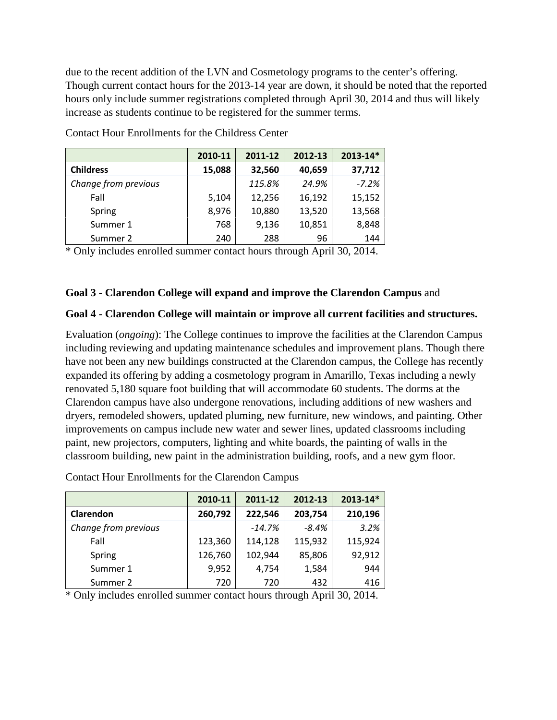due to the recent addition of the LVN and Cosmetology programs to the center's offering. Though current contact hours for the 2013-14 year are down, it should be noted that the reported hours only include summer registrations completed through April 30, 2014 and thus will likely increase as students continue to be registered for the summer terms.

|                      | 2010-11 | 2011-12 | 2012-13 | 2013-14* |
|----------------------|---------|---------|---------|----------|
| <b>Childress</b>     | 15,088  | 32,560  | 40,659  | 37,712   |
| Change from previous |         | 115.8%  | 24.9%   | $-7.2%$  |
| Fall                 | 5,104   | 12,256  | 16,192  | 15,152   |
| Spring               | 8,976   | 10,880  | 13,520  | 13,568   |
| Summer 1             | 768     | 9,136   | 10,851  | 8,848    |
| Summer 2             | 240     | 288     | 96      | 144      |

Contact Hour Enrollments for the Childress Center

\* Only includes enrolled summer contact hours through April 30, 2014.

#### **Goal 3 - Clarendon College will expand and improve the Clarendon Campus** and

#### **Goal 4 - Clarendon College will maintain or improve all current facilities and structures.**

Evaluation (*ongoing*): The College continues to improve the facilities at the Clarendon Campus including reviewing and updating maintenance schedules and improvement plans. Though there have not been any new buildings constructed at the Clarendon campus, the College has recently expanded its offering by adding a cosmetology program in Amarillo, Texas including a newly renovated 5,180 square foot building that will accommodate 60 students. The dorms at the Clarendon campus have also undergone renovations, including additions of new washers and dryers, remodeled showers, updated pluming, new furniture, new windows, and painting. Other improvements on campus include new water and sewer lines, updated classrooms including paint, new projectors, computers, lighting and white boards, the painting of walls in the classroom building, new paint in the administration building, roofs, and a new gym floor.

| <b>Contact Hour Enrollments for the Clarendon Campus</b> |  |  |
|----------------------------------------------------------|--|--|
|                                                          |  |  |

|                      | 2010-11 | 2011-12  | 2012-13 | 2013-14* |
|----------------------|---------|----------|---------|----------|
| Clarendon            | 260,792 | 222,546  | 203,754 | 210,196  |
| Change from previous |         | $-14.7%$ | $-8.4%$ | 3.2%     |
| Fall                 | 123,360 | 114,128  | 115,932 | 115,924  |
| Spring               | 126,760 | 102,944  | 85,806  | 92,912   |
| Summer 1             | 9,952   | 4,754    | 1,584   | 944      |
| Summer 2             | 720     | 720      | 432     | 416      |

\* Only includes enrolled summer contact hours through April 30, 2014.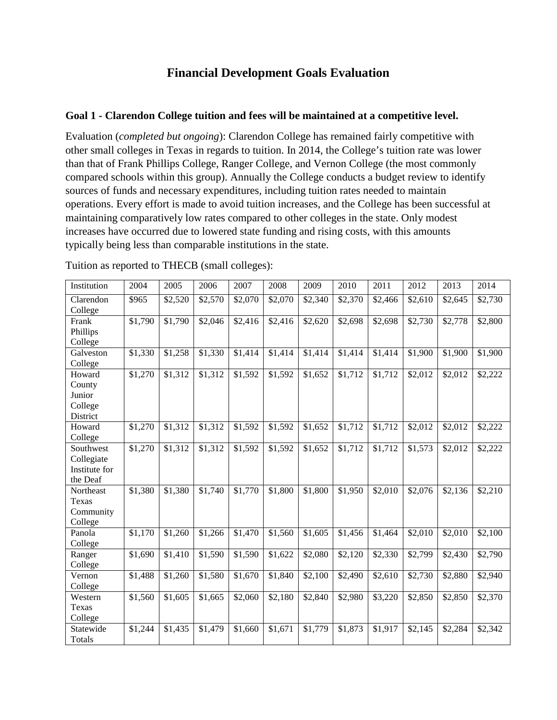# **Financial Development Goals Evaluation**

### **Goal 1 - Clarendon College tuition and fees will be maintained at a competitive level.**

Evaluation (*completed but ongoing*): Clarendon College has remained fairly competitive with other small colleges in Texas in regards to tuition. In 2014, the College's tuition rate was lower than that of Frank Phillips College, Ranger College, and Vernon College (the most commonly compared schools within this group). Annually the College conducts a budget review to identify sources of funds and necessary expenditures, including tuition rates needed to maintain operations. Every effort is made to avoid tuition increases, and the College has been successful at maintaining comparatively low rates compared to other colleges in the state. Only modest increases have occurred due to lowered state funding and rising costs, with this amounts typically being less than comparable institutions in the state.

| Institution   | 2004    | 2005    | 2006    | 2007    | 2008    | 2009                | 2010    | 2011    | 2012                | 2013    | 2014    |
|---------------|---------|---------|---------|---------|---------|---------------------|---------|---------|---------------------|---------|---------|
| Clarendon     | \$965   | \$2,520 | \$2,570 | \$2,070 | \$2,070 | \$2,340             | \$2,370 | \$2,466 | \$2,610             | \$2,645 | \$2,730 |
| College       |         |         |         |         |         |                     |         |         |                     |         |         |
| Frank         | \$1,790 | \$1,790 | \$2,046 | \$2,416 | \$2,416 | \$2,620             | \$2,698 | \$2,698 | \$2,730             | \$2,778 | \$2,800 |
| Phillips      |         |         |         |         |         |                     |         |         |                     |         |         |
| College       |         |         |         |         |         |                     |         |         |                     |         |         |
| Galveston     | \$1,330 | \$1,258 | \$1,330 | \$1,414 | \$1,414 | $\overline{$}1,414$ | \$1,414 | \$1,414 | $\overline{$1,900}$ | \$1,900 | \$1,900 |
| College       |         |         |         |         |         |                     |         |         |                     |         |         |
| Howard        | \$1,270 | \$1,312 | \$1,312 | \$1,592 | \$1,592 | \$1,652             | \$1,712 | \$1,712 | \$2,012             | \$2,012 | \$2,222 |
| County        |         |         |         |         |         |                     |         |         |                     |         |         |
| Junior        |         |         |         |         |         |                     |         |         |                     |         |         |
| College       |         |         |         |         |         |                     |         |         |                     |         |         |
| District      |         |         |         |         |         |                     |         |         |                     |         |         |
| Howard        | \$1,270 | \$1,312 | \$1,312 | \$1,592 | \$1,592 | \$1,652             | \$1,712 | \$1,712 | \$2,012             | \$2,012 | \$2,222 |
| College       |         |         |         |         |         |                     |         |         |                     |         |         |
| Southwest     | \$1,270 | \$1,312 | \$1,312 | \$1,592 | \$1,592 | $\overline{$}1,652$ | \$1,712 | \$1,712 | \$1,573             | \$2,012 | \$2,222 |
| Collegiate    |         |         |         |         |         |                     |         |         |                     |         |         |
| Institute for |         |         |         |         |         |                     |         |         |                     |         |         |
| the Deaf      |         |         |         |         |         |                     |         |         |                     |         |         |
| Northeast     | \$1,380 | \$1,380 | \$1,740 | \$1,770 | \$1,800 | \$1,800             | \$1,950 | \$2,010 | \$2,076             | \$2,136 | \$2,210 |
| Texas         |         |         |         |         |         |                     |         |         |                     |         |         |
| Community     |         |         |         |         |         |                     |         |         |                     |         |         |
| College       |         |         |         |         |         |                     |         |         |                     |         |         |
| Panola        | \$1,170 | \$1,260 | \$1,266 | \$1,470 | \$1,560 | \$1,605             | \$1,456 | \$1,464 | \$2,010             | \$2,010 | \$2,100 |
| College       |         |         |         |         |         |                     |         |         |                     |         |         |
| Ranger        | \$1,690 | \$1,410 | \$1,590 | \$1,590 | \$1,622 | \$2,080             | \$2,120 | \$2,330 | \$2,799             | \$2,430 | \$2,790 |
| College       |         |         |         |         |         |                     |         |         |                     |         |         |
| Vernon        | \$1,488 | \$1,260 | \$1,580 | \$1,670 | \$1,840 | \$2,100             | \$2,490 | \$2,610 | \$2,730             | \$2,880 | \$2,940 |
| College       |         |         |         |         |         |                     |         |         |                     |         |         |
| Western       | \$1,560 | \$1,605 | \$1,665 | \$2,060 | \$2,180 | \$2,840             | \$2,980 | \$3,220 | \$2,850             | \$2,850 | \$2,370 |
| Texas         |         |         |         |         |         |                     |         |         |                     |         |         |
| College       |         |         |         |         |         |                     |         |         |                     |         |         |
| Statewide     | \$1,244 | \$1,435 | \$1,479 | \$1,660 | \$1,671 | \$1,779             | \$1,873 | \$1,917 | $\overline{$}2,145$ | \$2,284 | \$2,342 |
| Totals        |         |         |         |         |         |                     |         |         |                     |         |         |

Tuition as reported to THECB (small colleges):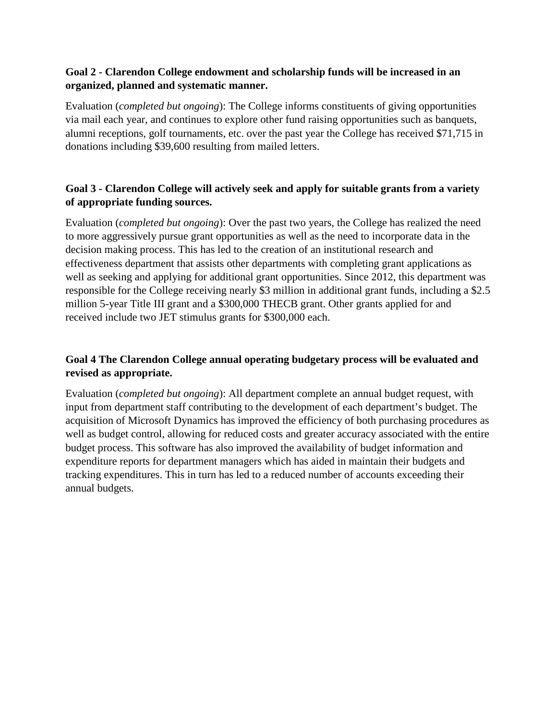### **Goal 2 - Clarendon College endowment and scholarship funds will be increased in an organized, planned and systematic manner.**

Evaluation (*completed but ongoing*): The College informs constituents of giving opportunities via mail each year, and continues to explore other fund raising opportunities such as banquets, alumni receptions, golf tournaments, etc. over the past year the College has received \$71,715 in donations including \$39,600 resulting from mailed letters.

## **Goal 3 - Clarendon College will actively seek and apply for suitable grants from a variety of appropriate funding sources.**

Evaluation (*completed but ongoing*): Over the past two years, the College has realized the need to more aggressively pursue grant opportunities as well as the need to incorporate data in the decision making process. This has led to the creation of an institutional research and effectiveness department that assists other departments with completing grant applications as well as seeking and applying for additional grant opportunities. Since 2012, this department was responsible for the College receiving nearly \$3 million in additional grant funds, including a \$2.5 million 5-year Title III grant and a \$300,000 THECB grant. Other grants applied for and received include two JET stimulus grants for \$300,000 each.

## **Goal 4 The Clarendon College annual operating budgetary process will be evaluated and revised as appropriate.**

Evaluation (*completed but ongoing*): All department complete an annual budget request, with input from department staff contributing to the development of each department's budget. The acquisition of Microsoft Dynamics has improved the efficiency of both purchasing procedures as well as budget control, allowing for reduced costs and greater accuracy associated with the entire budget process. This software has also improved the availability of budget information and expenditure reports for department managers which has aided in maintain their budgets and tracking expenditures. This in turn has led to a reduced number of accounts exceeding their annual budgets.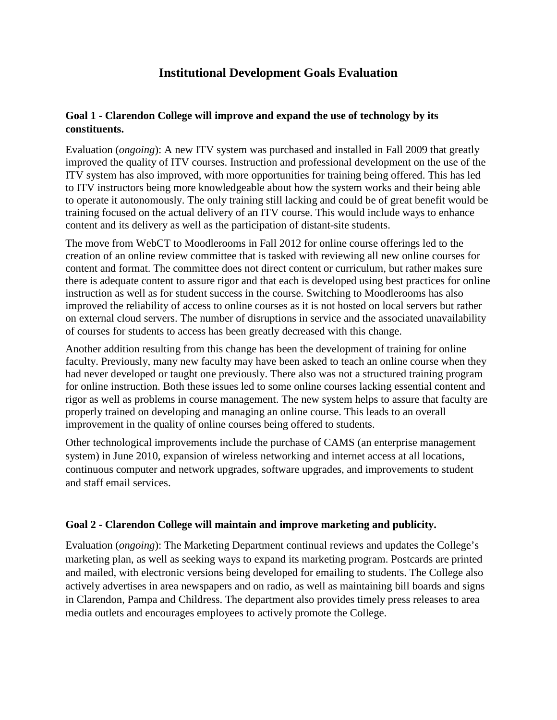# **Institutional Development Goals Evaluation**

### **Goal 1 - Clarendon College will improve and expand the use of technology by its constituents.**

Evaluation (*ongoing*): A new ITV system was purchased and installed in Fall 2009 that greatly improved the quality of ITV courses. Instruction and professional development on the use of the ITV system has also improved, with more opportunities for training being offered. This has led to ITV instructors being more knowledgeable about how the system works and their being able to operate it autonomously. The only training still lacking and could be of great benefit would be training focused on the actual delivery of an ITV course. This would include ways to enhance content and its delivery as well as the participation of distant-site students.

The move from WebCT to Moodlerooms in Fall 2012 for online course offerings led to the creation of an online review committee that is tasked with reviewing all new online courses for content and format. The committee does not direct content or curriculum, but rather makes sure there is adequate content to assure rigor and that each is developed using best practices for online instruction as well as for student success in the course. Switching to Moodlerooms has also improved the reliability of access to online courses as it is not hosted on local servers but rather on external cloud servers. The number of disruptions in service and the associated unavailability of courses for students to access has been greatly decreased with this change.

Another addition resulting from this change has been the development of training for online faculty. Previously, many new faculty may have been asked to teach an online course when they had never developed or taught one previously. There also was not a structured training program for online instruction. Both these issues led to some online courses lacking essential content and rigor as well as problems in course management. The new system helps to assure that faculty are properly trained on developing and managing an online course. This leads to an overall improvement in the quality of online courses being offered to students.

Other technological improvements include the purchase of CAMS (an enterprise management system) in June 2010, expansion of wireless networking and internet access at all locations, continuous computer and network upgrades, software upgrades, and improvements to student and staff email services.

### **Goal 2 - Clarendon College will maintain and improve marketing and publicity.**

Evaluation (*ongoing*): The Marketing Department continual reviews and updates the College's marketing plan, as well as seeking ways to expand its marketing program. Postcards are printed and mailed, with electronic versions being developed for emailing to students. The College also actively advertises in area newspapers and on radio, as well as maintaining bill boards and signs in Clarendon, Pampa and Childress. The department also provides timely press releases to area media outlets and encourages employees to actively promote the College.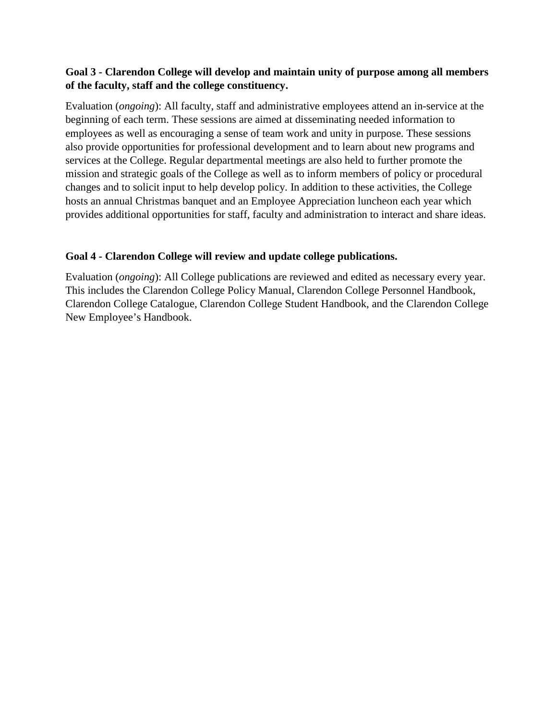### **Goal 3 - Clarendon College will develop and maintain unity of purpose among all members of the faculty, staff and the college constituency.**

Evaluation (*ongoing*): All faculty, staff and administrative employees attend an in-service at the beginning of each term. These sessions are aimed at disseminating needed information to employees as well as encouraging a sense of team work and unity in purpose. These sessions also provide opportunities for professional development and to learn about new programs and services at the College. Regular departmental meetings are also held to further promote the mission and strategic goals of the College as well as to inform members of policy or procedural changes and to solicit input to help develop policy. In addition to these activities, the College hosts an annual Christmas banquet and an Employee Appreciation luncheon each year which provides additional opportunities for staff, faculty and administration to interact and share ideas.

### **Goal 4 - Clarendon College will review and update college publications.**

Evaluation (*ongoing*): All College publications are reviewed and edited as necessary every year. This includes the Clarendon College Policy Manual, Clarendon College Personnel Handbook, Clarendon College Catalogue, Clarendon College Student Handbook, and the Clarendon College New Employee's Handbook.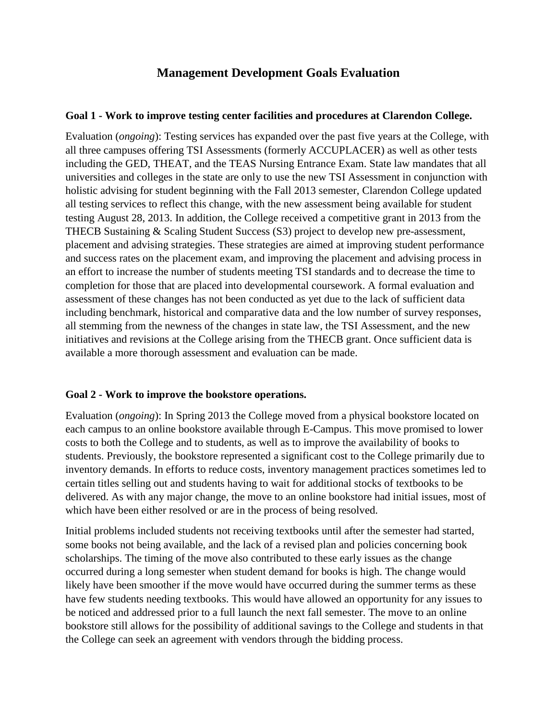## **Management Development Goals Evaluation**

#### **Goal 1 - Work to improve testing center facilities and procedures at Clarendon College.**

Evaluation (*ongoing*): Testing services has expanded over the past five years at the College, with all three campuses offering TSI Assessments (formerly ACCUPLACER) as well as other tests including the GED, THEAT, and the TEAS Nursing Entrance Exam. State law mandates that all universities and colleges in the state are only to use the new TSI Assessment in conjunction with holistic advising for student beginning with the Fall 2013 semester, Clarendon College updated all testing services to reflect this change, with the new assessment being available for student testing August 28, 2013. In addition, the College received a competitive grant in 2013 from the THECB Sustaining & Scaling Student Success (S3) project to develop new pre-assessment, placement and advising strategies. These strategies are aimed at improving student performance and success rates on the placement exam, and improving the placement and advising process in an effort to increase the number of students meeting TSI standards and to decrease the time to completion for those that are placed into developmental coursework. A formal evaluation and assessment of these changes has not been conducted as yet due to the lack of sufficient data including benchmark, historical and comparative data and the low number of survey responses, all stemming from the newness of the changes in state law, the TSI Assessment, and the new initiatives and revisions at the College arising from the THECB grant. Once sufficient data is available a more thorough assessment and evaluation can be made.

#### **Goal 2 - Work to improve the bookstore operations.**

Evaluation (*ongoing*): In Spring 2013 the College moved from a physical bookstore located on each campus to an online bookstore available through E-Campus. This move promised to lower costs to both the College and to students, as well as to improve the availability of books to students. Previously, the bookstore represented a significant cost to the College primarily due to inventory demands. In efforts to reduce costs, inventory management practices sometimes led to certain titles selling out and students having to wait for additional stocks of textbooks to be delivered. As with any major change, the move to an online bookstore had initial issues, most of which have been either resolved or are in the process of being resolved.

Initial problems included students not receiving textbooks until after the semester had started, some books not being available, and the lack of a revised plan and policies concerning book scholarships. The timing of the move also contributed to these early issues as the change occurred during a long semester when student demand for books is high. The change would likely have been smoother if the move would have occurred during the summer terms as these have few students needing textbooks. This would have allowed an opportunity for any issues to be noticed and addressed prior to a full launch the next fall semester. The move to an online bookstore still allows for the possibility of additional savings to the College and students in that the College can seek an agreement with vendors through the bidding process.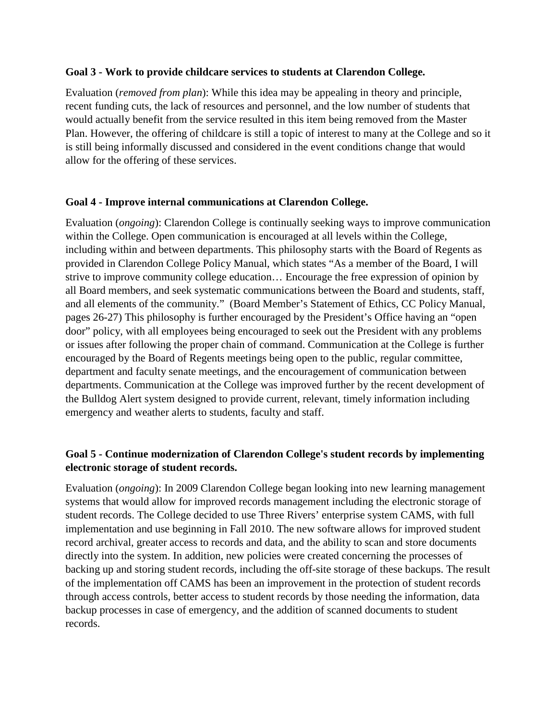### **Goal 3 - Work to provide childcare services to students at Clarendon College.**

Evaluation (*removed from plan*): While this idea may be appealing in theory and principle, recent funding cuts, the lack of resources and personnel, and the low number of students that would actually benefit from the service resulted in this item being removed from the Master Plan. However, the offering of childcare is still a topic of interest to many at the College and so it is still being informally discussed and considered in the event conditions change that would allow for the offering of these services.

### **Goal 4 - Improve internal communications at Clarendon College.**

Evaluation (*ongoing*): Clarendon College is continually seeking ways to improve communication within the College. Open communication is encouraged at all levels within the College, including within and between departments. This philosophy starts with the Board of Regents as provided in Clarendon College Policy Manual, which states "As a member of the Board, I will strive to improve community college education… Encourage the free expression of opinion by all Board members, and seek systematic communications between the Board and students, staff, and all elements of the community." (Board Member's Statement of Ethics, CC Policy Manual, pages 26-27) This philosophy is further encouraged by the President's Office having an "open door" policy, with all employees being encouraged to seek out the President with any problems or issues after following the proper chain of command. Communication at the College is further encouraged by the Board of Regents meetings being open to the public, regular committee, department and faculty senate meetings, and the encouragement of communication between departments. Communication at the College was improved further by the recent development of the Bulldog Alert system designed to provide current, relevant, timely information including emergency and weather alerts to students, faculty and staff.

## **Goal 5 - Continue modernization of Clarendon College's student records by implementing electronic storage of student records.**

Evaluation (*ongoing*): In 2009 Clarendon College began looking into new learning management systems that would allow for improved records management including the electronic storage of student records. The College decided to use Three Rivers' enterprise system CAMS, with full implementation and use beginning in Fall 2010. The new software allows for improved student record archival, greater access to records and data, and the ability to scan and store documents directly into the system. In addition, new policies were created concerning the processes of backing up and storing student records, including the off-site storage of these backups. The result of the implementation off CAMS has been an improvement in the protection of student records through access controls, better access to student records by those needing the information, data backup processes in case of emergency, and the addition of scanned documents to student records.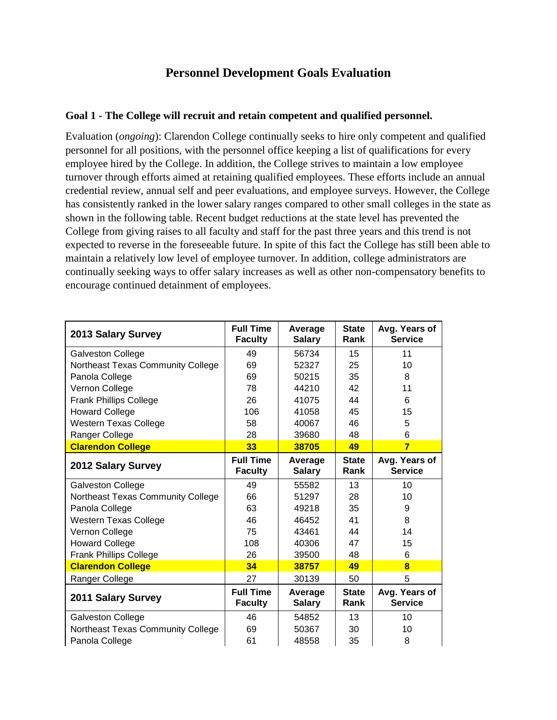# **Personnel Development Goals Evaluation**

### **Goal 1 - The College will recruit and retain competent and qualified personnel.**

Evaluation (*ongoing*): Clarendon College continually seeks to hire only competent and qualified personnel for all positions, with the personnel office keeping a list of qualifications for every employee hired by the College. In addition, the College strives to maintain a low employee turnover through efforts aimed at retaining qualified employees. These efforts include an annual credential review, annual self and peer evaluations, and employee surveys. However, the College has consistently ranked in the lower salary ranges compared to other small colleges in the state as shown in the following table. Recent budget reductions at the state level has prevented the College from giving raises to all faculty and staff for the past three years and this trend is not expected to reverse in the foreseeable future. In spite of this fact the College has still been able to maintain a relatively low level of employee turnover. In addition, college administrators are continually seeking ways to offer salary increases as well as other non-compensatory benefits to encourage continued detainment of employees.

| 2013 Salary Survey                | <b>Full Time</b><br><b>Faculty</b> | Average<br><b>Salary</b> | <b>State</b><br>Rank | Avg. Years of<br><b>Service</b> |
|-----------------------------------|------------------------------------|--------------------------|----------------------|---------------------------------|
| Galveston College                 | 49                                 | 56734                    | 15                   | 11                              |
| Northeast Texas Community College | 69                                 | 52327                    | 25                   | 10                              |
| Panola College                    | 69                                 | 50215                    | 35                   | 8                               |
| Vernon College                    | 78                                 | 44210                    | 42                   | 11                              |
| <b>Frank Phillips College</b>     | 26                                 | 41075                    | 44                   | 6                               |
| <b>Howard College</b>             | 106                                | 41058                    | 45                   | 15                              |
| <b>Western Texas College</b>      | 58                                 | 40067                    | 46                   | 5                               |
| Ranger College                    | 28                                 | 39680                    | 48                   | 6                               |
| <b>Clarendon College</b>          | 33                                 | 38705                    | 49                   | $\overline{7}$                  |
| 2012 Salary Survey                | <b>Full Time</b><br><b>Faculty</b> | Average<br><b>Salary</b> | <b>State</b><br>Rank | Avg. Years of<br><b>Service</b> |
| Galveston College                 | 49                                 | 55582                    | 13                   | 10                              |
| Northeast Texas Community College | 66                                 | 51297                    | 28                   | 10                              |
| Panola College                    | 63                                 | 49218                    | 35                   | 9                               |
| <b>Western Texas College</b>      | 46                                 | 46452                    | 41                   | 8                               |
| Vernon College                    | 75                                 | 43461                    | 44                   | 14                              |
| <b>Howard College</b>             | 108                                | 40306                    | 47                   | 15                              |
| <b>Frank Phillips College</b>     | 26                                 | 39500                    | 48                   | 6                               |
| <b>Clarendon College</b>          | 34                                 | 38757                    | 49                   | $\bf{a}$                        |
| Ranger College                    | 27                                 | 30139                    | 50                   | 5                               |
| 2011 Salary Survey                | <b>Full Time</b><br><b>Faculty</b> | Average<br><b>Salary</b> | <b>State</b><br>Rank | Avg. Years of<br><b>Service</b> |
| Galveston College                 | 46                                 | 54852                    | 13                   | 10                              |
| Northeast Texas Community College | 69                                 | 50367                    | 30                   | 10                              |
| Panola College                    | 61                                 | 48558                    | 35                   | 8                               |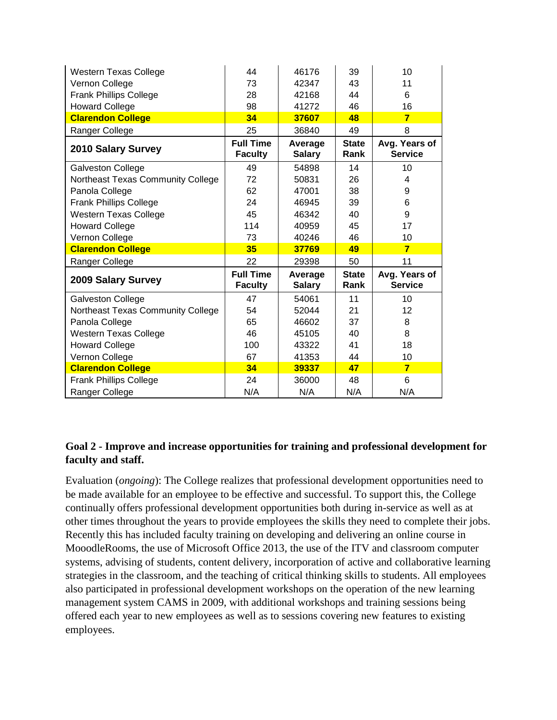| <b>Western Texas College</b>      | 44                                 | 46176                    | 39                   | 10                              |
|-----------------------------------|------------------------------------|--------------------------|----------------------|---------------------------------|
| Vernon College                    | 73                                 | 42347                    | 43                   | 11                              |
| <b>Frank Phillips College</b>     | 28                                 | 42168                    | 44                   | 6                               |
| <b>Howard College</b>             | 98                                 | 41272                    | 46                   | 16                              |
| <b>Clarendon College</b>          | 34                                 | 37607                    | 48                   | $\overline{7}$                  |
| Ranger College                    | 25                                 | 36840                    | 49                   | 8                               |
| <b>2010 Salary Survey</b>         | <b>Full Time</b><br><b>Faculty</b> | Average<br><b>Salary</b> | <b>State</b><br>Rank | Avg. Years of<br><b>Service</b> |
| Galveston College                 | 49                                 | 54898                    | 14                   | 10                              |
| Northeast Texas Community College | 72                                 | 50831                    | 26                   | 4                               |
| Panola College                    | 62                                 | 47001                    | 38                   | 9                               |
| <b>Frank Phillips College</b>     | 24                                 | 46945                    | 39                   | 6                               |
| <b>Western Texas College</b>      | 45                                 | 46342                    | 40                   | 9                               |
| <b>Howard College</b>             | 114                                | 40959                    | 45                   | 17                              |
|                                   | 73                                 | 40246                    | 46                   | 10                              |
| Vernon College                    |                                    |                          |                      |                                 |
| <b>Clarendon College</b>          | 35                                 | 37769                    | 49                   | $\overline{7}$                  |
| Ranger College                    | 22                                 | 29398                    | 50                   | 11                              |
| 2009 Salary Survey                | <b>Full Time</b><br><b>Faculty</b> | Average<br><b>Salary</b> | <b>State</b><br>Rank | Avg. Years of<br><b>Service</b> |
| Galveston College                 | 47                                 | 54061                    | 11                   | 10                              |
| Northeast Texas Community College | 54                                 | 52044                    | 21                   | 12                              |
| Panola College                    | 65                                 | 46602                    | 37                   | 8                               |
| <b>Western Texas College</b>      | 46                                 | 45105                    | 40                   | 8                               |
| <b>Howard College</b>             | 100                                | 43322                    | 41                   | 18                              |
| Vernon College                    | 67                                 | 41353                    | 44                   | 10                              |
| <b>Clarendon College</b>          | 34                                 | 39337                    | 47                   | $\overline{7}$                  |
| <b>Frank Phillips College</b>     | 24                                 | 36000                    | 48                   | 6<br>N/A                        |

### **Goal 2 - Improve and increase opportunities for training and professional development for faculty and staff.**

Evaluation (*ongoing*): The College realizes that professional development opportunities need to be made available for an employee to be effective and successful. To support this, the College continually offers professional development opportunities both during in-service as well as at other times throughout the years to provide employees the skills they need to complete their jobs. Recently this has included faculty training on developing and delivering an online course in MooodleRooms, the use of Microsoft Office 2013, the use of the ITV and classroom computer systems, advising of students, content delivery, incorporation of active and collaborative learning strategies in the classroom, and the teaching of critical thinking skills to students. All employees also participated in professional development workshops on the operation of the new learning management system CAMS in 2009, with additional workshops and training sessions being offered each year to new employees as well as to sessions covering new features to existing employees.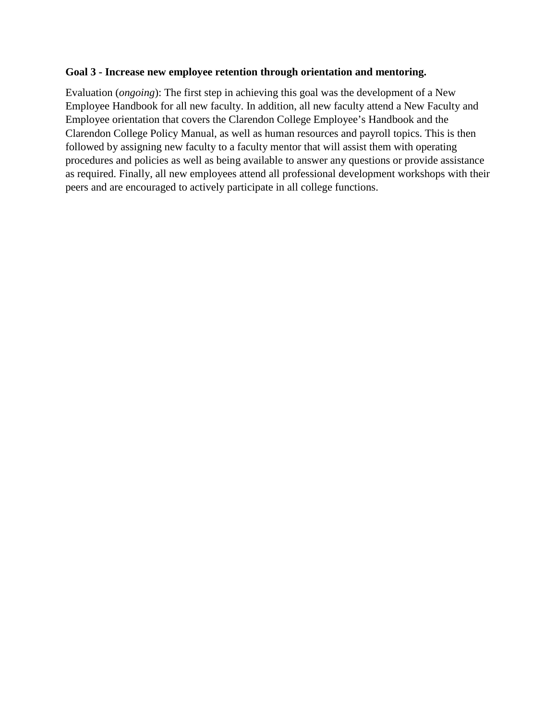#### **Goal 3 - Increase new employee retention through orientation and mentoring.**

Evaluation (*ongoing*): The first step in achieving this goal was the development of a New Employee Handbook for all new faculty. In addition, all new faculty attend a New Faculty and Employee orientation that covers the Clarendon College Employee's Handbook and the Clarendon College Policy Manual, as well as human resources and payroll topics. This is then followed by assigning new faculty to a faculty mentor that will assist them with operating procedures and policies as well as being available to answer any questions or provide assistance as required. Finally, all new employees attend all professional development workshops with their peers and are encouraged to actively participate in all college functions.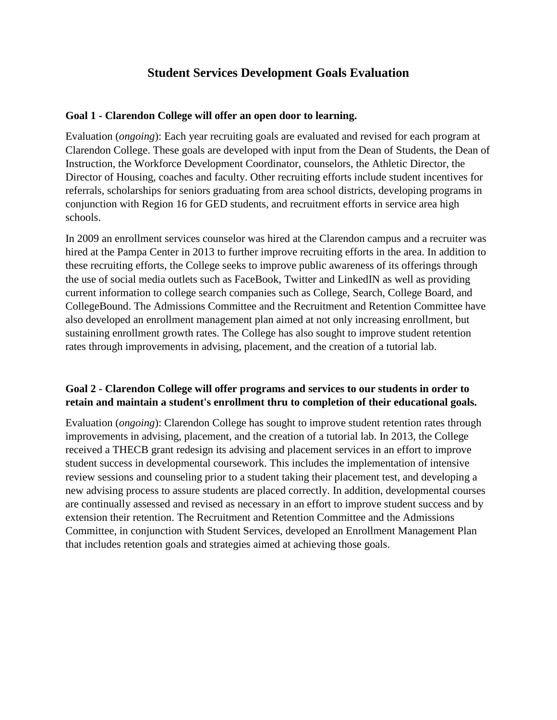# **Student Services Development Goals Evaluation**

#### **Goal 1 - Clarendon College will offer an open door to learning.**

Evaluation (*ongoing*): Each year recruiting goals are evaluated and revised for each program at Clarendon College. These goals are developed with input from the Dean of Students, the Dean of Instruction, the Workforce Development Coordinator, counselors, the Athletic Director, the Director of Housing, coaches and faculty. Other recruiting efforts include student incentives for referrals, scholarships for seniors graduating from area school districts, developing programs in conjunction with Region 16 for GED students, and recruitment efforts in service area high schools.

In 2009 an enrollment services counselor was hired at the Clarendon campus and a recruiter was hired at the Pampa Center in 2013 to further improve recruiting efforts in the area. In addition to these recruiting efforts, the College seeks to improve public awareness of its offerings through the use of social media outlets such as FaceBook, Twitter and LinkedIN as well as providing current information to college search companies such as College, Search, College Board, and CollegeBound. The Admissions Committee and the Recruitment and Retention Committee have also developed an enrollment management plan aimed at not only increasing enrollment, but sustaining enrollment growth rates. The College has also sought to improve student retention rates through improvements in advising, placement, and the creation of a tutorial lab.

### **Goal 2 - Clarendon College will offer programs and services to our students in order to retain and maintain a student's enrollment thru to completion of their educational goals.**

Evaluation (*ongoing*): Clarendon College has sought to improve student retention rates through improvements in advising, placement, and the creation of a tutorial lab. In 2013, the College received a THECB grant redesign its advising and placement services in an effort to improve student success in developmental coursework. This includes the implementation of intensive review sessions and counseling prior to a student taking their placement test, and developing a new advising process to assure students are placed correctly. In addition, developmental courses are continually assessed and revised as necessary in an effort to improve student success and by extension their retention. The Recruitment and Retention Committee and the Admissions Committee, in conjunction with Student Services, developed an Enrollment Management Plan that includes retention goals and strategies aimed at achieving those goals.